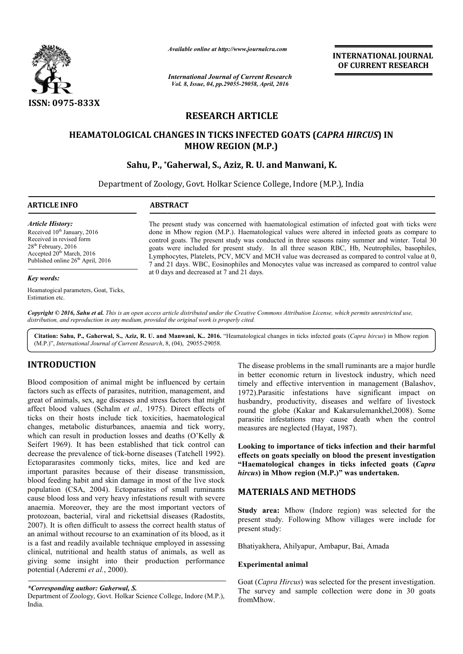

*Available online at http://www.journalcra.com*

# **RESEARCH ARTICLE**

## **HEAMATOLOGICAL CHANGES IN TICKS INFECTED GOATS (** *CAPRA HIRCUS* **) IN MHOW REGION (M.P.)**

## **Sahu, P., \*Gaherwal Gaherwal, S., Aziz, R. U. and Manwani, K.**

|                                                                                                                                                                                                                                                                                                                                                                                                                                                                                                                                                                                                                                                                                     | атишные опине иг пир.//www.journatera.com<br><b>International Journal of Current Research</b><br>Vol. 8, Issue, 04, pp.29055-29058, April, 2016                                                                                                                                                                                                                                                                                                                                                                                                                                                               | <b>INTERNATIONAL JOURNAL</b><br>OF CURRENT RESEARCH                                                                                                                                                                                                                                                                                                                                                                                                                                                                                                                                                                                                                            |  |  |  |  |
|-------------------------------------------------------------------------------------------------------------------------------------------------------------------------------------------------------------------------------------------------------------------------------------------------------------------------------------------------------------------------------------------------------------------------------------------------------------------------------------------------------------------------------------------------------------------------------------------------------------------------------------------------------------------------------------|---------------------------------------------------------------------------------------------------------------------------------------------------------------------------------------------------------------------------------------------------------------------------------------------------------------------------------------------------------------------------------------------------------------------------------------------------------------------------------------------------------------------------------------------------------------------------------------------------------------|--------------------------------------------------------------------------------------------------------------------------------------------------------------------------------------------------------------------------------------------------------------------------------------------------------------------------------------------------------------------------------------------------------------------------------------------------------------------------------------------------------------------------------------------------------------------------------------------------------------------------------------------------------------------------------|--|--|--|--|
| ISSN: 0975-833X                                                                                                                                                                                                                                                                                                                                                                                                                                                                                                                                                                                                                                                                     |                                                                                                                                                                                                                                                                                                                                                                                                                                                                                                                                                                                                               |                                                                                                                                                                                                                                                                                                                                                                                                                                                                                                                                                                                                                                                                                |  |  |  |  |
|                                                                                                                                                                                                                                                                                                                                                                                                                                                                                                                                                                                                                                                                                     |                                                                                                                                                                                                                                                                                                                                                                                                                                                                                                                                                                                                               | <b>RESEARCH ARTICLE</b>                                                                                                                                                                                                                                                                                                                                                                                                                                                                                                                                                                                                                                                        |  |  |  |  |
|                                                                                                                                                                                                                                                                                                                                                                                                                                                                                                                                                                                                                                                                                     |                                                                                                                                                                                                                                                                                                                                                                                                                                                                                                                                                                                                               |                                                                                                                                                                                                                                                                                                                                                                                                                                                                                                                                                                                                                                                                                |  |  |  |  |
|                                                                                                                                                                                                                                                                                                                                                                                                                                                                                                                                                                                                                                                                                     | <b>MHOW REGION (M.P.)</b>                                                                                                                                                                                                                                                                                                                                                                                                                                                                                                                                                                                     | HEAMATOLOGICAL CHANGES IN TICKS INFECTED GOATS (CAPRA HIRCUS) IN                                                                                                                                                                                                                                                                                                                                                                                                                                                                                                                                                                                                               |  |  |  |  |
|                                                                                                                                                                                                                                                                                                                                                                                                                                                                                                                                                                                                                                                                                     |                                                                                                                                                                                                                                                                                                                                                                                                                                                                                                                                                                                                               | Sahu, P., *Gaherwal, S., Aziz, R. U. and Manwani, K.                                                                                                                                                                                                                                                                                                                                                                                                                                                                                                                                                                                                                           |  |  |  |  |
|                                                                                                                                                                                                                                                                                                                                                                                                                                                                                                                                                                                                                                                                                     |                                                                                                                                                                                                                                                                                                                                                                                                                                                                                                                                                                                                               | Department of Zoology, Govt. Holkar Science College, Indore (M.P.), India                                                                                                                                                                                                                                                                                                                                                                                                                                                                                                                                                                                                      |  |  |  |  |
|                                                                                                                                                                                                                                                                                                                                                                                                                                                                                                                                                                                                                                                                                     |                                                                                                                                                                                                                                                                                                                                                                                                                                                                                                                                                                                                               |                                                                                                                                                                                                                                                                                                                                                                                                                                                                                                                                                                                                                                                                                |  |  |  |  |
| <b>ARTICLE INFO</b>                                                                                                                                                                                                                                                                                                                                                                                                                                                                                                                                                                                                                                                                 | <b>ABSTRACT</b>                                                                                                                                                                                                                                                                                                                                                                                                                                                                                                                                                                                               |                                                                                                                                                                                                                                                                                                                                                                                                                                                                                                                                                                                                                                                                                |  |  |  |  |
| <b>Article History:</b><br>Received 10 <sup>th</sup> January, 2016<br>Received in revised form<br>28 <sup>th</sup> February, 2016<br>Accepted 20 <sup>th</sup> March, 2016<br>Published online 26 <sup>th</sup> April, 2016                                                                                                                                                                                                                                                                                                                                                                                                                                                         | The present study was concerned with haematological estimation of infected goat with ticks were<br>done in Mhow region (M.P.). Haematological values were altered in infected goats as compare to<br>control goats. The present study was conducted in three seasons rainy summer and winter. Total 30<br>goats were included for present study. In all three season RBC, Hb, Neutrophiles, basophiles,<br>Lymphocytes, Platelets, PCV, MCV and MCH value was decreased as compared to control value at 0,<br>7 and 21 days. WBC, Eosinophiles and Monocytes value was increased as compared to control value |                                                                                                                                                                                                                                                                                                                                                                                                                                                                                                                                                                                                                                                                                |  |  |  |  |
| <b>Key words:</b>                                                                                                                                                                                                                                                                                                                                                                                                                                                                                                                                                                                                                                                                   | at 0 days and decreased at 7 and 21 days.                                                                                                                                                                                                                                                                                                                                                                                                                                                                                                                                                                     |                                                                                                                                                                                                                                                                                                                                                                                                                                                                                                                                                                                                                                                                                |  |  |  |  |
| Heamatogical parameters, Goat, Ticks,<br>Estimation etc.                                                                                                                                                                                                                                                                                                                                                                                                                                                                                                                                                                                                                            |                                                                                                                                                                                                                                                                                                                                                                                                                                                                                                                                                                                                               |                                                                                                                                                                                                                                                                                                                                                                                                                                                                                                                                                                                                                                                                                |  |  |  |  |
| distribution, and reproduction in any medium, provided the original work is properly cited.<br>(M.P.)", International Journal of Current Research, 8, (04), 29055-29058.                                                                                                                                                                                                                                                                                                                                                                                                                                                                                                            |                                                                                                                                                                                                                                                                                                                                                                                                                                                                                                                                                                                                               | Copyright © 2016, Sahu et al. This is an open access article distributed under the Creative Commons Attribution License, which permits unrestricted use,<br>Citation: Sahu, P., Gaherwal, S., Aziz, R. U. and Manwani, K 2016. "Heamatological changes in ticks infected goats (Capra hircus) in Mhow region                                                                                                                                                                                                                                                                                                                                                                   |  |  |  |  |
| <b>INTRODUCTION</b><br>Blood composition of animal might be influenced by certain<br>factors such as effects of parasites, nutrition, management, and<br>great of animals, sex, age diseases and stress factors that might<br>affect blood values (Schalm et al., 1975). Direct effects of<br>ticks on their hosts include tick toxicities, haematological<br>changes, metabolic disturbances, anaemia and tick worry,<br>which can result in production losses and deaths (O'Kelly &<br>Seifert 1969). It has been established that tick control can<br>decrease the prevalence of tick-borne diseases (Tatchell 1992).<br>Ectopararasites commonly ticks, mites, lice and ked are |                                                                                                                                                                                                                                                                                                                                                                                                                                                                                                                                                                                                               | The disease problems in the small ruminants are a major hurdle<br>in better economic return in livestock industry, which need<br>timely and effective intervention in management (Balashov,<br>1972). Parasitic infestations have significant impact on<br>husbandry, productivity, diseases and welfare of livestock<br>round the globe (Kakar and Kakarsulemankhel, 2008). Some<br>parasitic infestations may cause death when the control<br>measures are neglected (Hayat, 1987).<br>Looking to importance of ticks infection and their harmful<br>effects on goats specially on blood the present investigation<br>"Haematological changes in ticks infected goats (Capra |  |  |  |  |
| important parasites because of their disease transmission,<br>blood feeding habit and skin damage in most of the live stock<br>population (CSA, 2004). Ectoparasites of small ruminants<br>cause blood loss and very heavy infestations result with severe                                                                                                                                                                                                                                                                                                                                                                                                                          |                                                                                                                                                                                                                                                                                                                                                                                                                                                                                                                                                                                                               | hircus) in Mhow region (M.P.)" was undertaken.<br><b>MATERIALS AND METHODS</b>                                                                                                                                                                                                                                                                                                                                                                                                                                                                                                                                                                                                 |  |  |  |  |
| anaemia. Moreover, they are the most important vectors of<br>protozoan, bacterial, viral and rickettsial diseases (Radostits,<br>2007). It is often difficult to assess the correct health status of<br>an animal without recourse to an examination of its blood, as it                                                                                                                                                                                                                                                                                                                                                                                                            |                                                                                                                                                                                                                                                                                                                                                                                                                                                                                                                                                                                                               | Study area: Mhow (Indore region) was selected for the<br>present study. Following Mhow villages were include for<br>present study:                                                                                                                                                                                                                                                                                                                                                                                                                                                                                                                                             |  |  |  |  |
| is a fast and readily available technique employed in assessing<br>clinical, nutritional and health status of animals, as well as<br>giving some insight into their production performance                                                                                                                                                                                                                                                                                                                                                                                                                                                                                          |                                                                                                                                                                                                                                                                                                                                                                                                                                                                                                                                                                                                               | Bhatiyakhera, Ahilyapur, Ambapur, Bai, Amada                                                                                                                                                                                                                                                                                                                                                                                                                                                                                                                                                                                                                                   |  |  |  |  |
| potential (Aderemi et al., 2000).                                                                                                                                                                                                                                                                                                                                                                                                                                                                                                                                                                                                                                                   |                                                                                                                                                                                                                                                                                                                                                                                                                                                                                                                                                                                                               | <b>Experimental animal</b>                                                                                                                                                                                                                                                                                                                                                                                                                                                                                                                                                                                                                                                     |  |  |  |  |
| *Corresponding author: Gaherwal, S.                                                                                                                                                                                                                                                                                                                                                                                                                                                                                                                                                                                                                                                 |                                                                                                                                                                                                                                                                                                                                                                                                                                                                                                                                                                                                               | Goat ( <i>Capra Hircus</i> ) was selected for the present investigation.<br>The survey and sample collection were done in 30 goats                                                                                                                                                                                                                                                                                                                                                                                                                                                                                                                                             |  |  |  |  |

#### *Key words:*

## **INTRODUCTION**

## **MATERIALS AND METHODS ATERIALS METHODS**

### **Experimental animal**

Goat (*Capra Hircus*) was selected for the present investigation. The survey and sample collection were done in 30 goats fromMhow.

Department of Zoology, Govt. Holkar Science College, Indore (M.P.), India.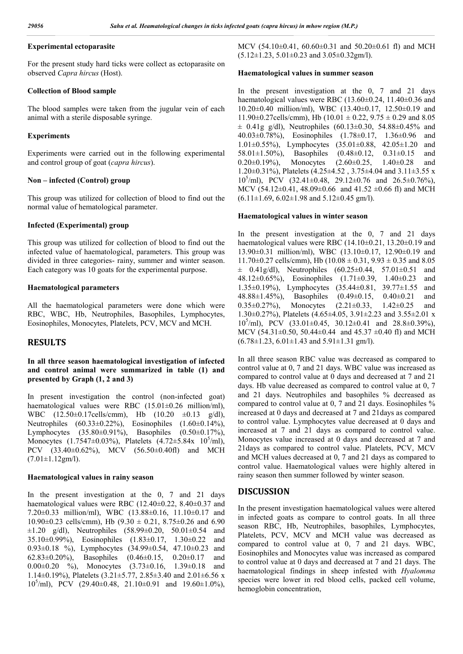### **Experimental ectoparasite**

For the present study hard ticks were collect as ectoparasite on observed *Capra hircus* (Host).

#### **Collection of Blood sample**

The blood samples were taken from the jugular vein of each animal with a sterile disposable syringe.

#### **Experiments**

Experiments were carried out in the following experimental and control group of goat (*capra hircus*).

#### **Non – infected (Control) group**

This group was utilized for collection of blood to find out the normal value of hematological parameter.

### **Infected (Experimental) group**

This group was utilized for collection of blood to find out the infected value of haematological, parameters. This group was divided in three categories- rainy, summer and winter season. Each category was 10 goats for the experimental purpose.

### **Haematological parameters**

All the haematological parameters were done which were RBC, WBC, Hb, Neutrophiles, Basophiles, Lymphocytes, Eosinophiles, Monocytes, Platelets, PCV, MCV and MCH.

## **RESULTS**

## **In all three season haematological investigation of infected and control animal were summarized in table (1) and presented by Graph (1, 2 and 3)**

In present investigation the control (non-infected goat) haematological values were RBC (15.01 $\pm$ 0.26 million/ml), WBC (12.50±0.17cells/cmm), Hb (10.20 ±0.13 g/dl), Neutrophiles (60.33±0.22%), Eosinophiles (1.60±0.14%), Lymphocytes (35.80±0.91%), Basophiles (0.50±0.17%), Monocytes  $(1.7547 \pm 0.03\%)$ , Platelets  $(4.72 \pm 5.84x \ 10^5\%)$ , PCV (33.40±0.62%), MCV (56.50±0.40fl) and MCH  $(7.01 \pm 1.12$ gm/l).

#### **Haematological values in rainy season**

In the present investigation at the 0, 7 and 21 days haematological values were RBC (12.40±0.22, 8.40±0.37 and 7.20±0.33 million/ml), WBC (13.88±0.16, 11.10±0.17 and 10.90 $\pm$ 0.23 cells/cmm), Hb (9.30  $\pm$  0.21, 8.75 $\pm$ 0.26 and 6.90  $\pm 1.20$  g/dl), Neutrophiles (58.99 $\pm 0.20$ , 50.01 $\pm 0.54$  and 35.10±0.99%), Eosinophiles (1.83±0.17, 1.30±0.22 and 0.93±0.18 %), Lymphocytes (34.99±0.54, 47.10±0.23 and 62.83±0.20%), Basophiles (0.46±0.15, 0.20±0.17 and  $0.00\pm0.20$  %), Monocytes  $(3.73\pm0.16, 1.39\pm0.18$  and 1.14±0.19%), Platelets (3.21±5.77, 2.85±3.40 and 2.01±6.56 x 10<sup>5</sup> /ml), PCV (29.40±0.48, 21.10±0.91 and 19.60±1.0%), MCV (54.10±0.41, 60.60±0.31 and 50.20±0.61 fl) and MCH (5.12±1.23, 5.01±0.23 and 3.05±0.32gm/l).

#### **Haematological values in summer season**

In the present investigation at the 0, 7 and 21 days haematological values were RBC (13.60±0.24, 11.40±0.36 and 10.20±0.40 million/ml), WBC (13.40±0.17, 12.50±0.19 and 11.90 $\pm$ 0.27cells/cmm), Hb (10.01  $\pm$  0.22, 9.75  $\pm$  0.29 and 8.05  $\pm$  0.41g g/dl), Neutrophiles (60.13 $\pm$ 0.30, 54.88 $\pm$ 0.45% and 40.03±0.78%), Eosinophiles (1.78±0.17, 1.36±0.96 and 1.01±0.55%), Lymphocytes (35.01±0.88, 42.05±1.20 and 58.01±1.50%), Basophiles (0.48±0.12, 0.31±0.15 and 0.20±0.19%), Monocytes (2.60±0.25, 1.40±0.28 and 1.20 $\pm$ 0.31%), Platelets (4.25 $\pm$ 4.52, 3.75 $\pm$ 4.04 and 3.11 $\pm$ 3.55 x 10<sup>5</sup> /ml), PCV (32.41±0.48, 29.12±0.76 and 26.5±0.76%), MCV (54.12 $\pm$ 0.41, 48.09 $\pm$ 0.66 and 41.52  $\pm$ 0.66 fl) and MCH  $(6.11\pm1.69, 6.02\pm1.98 \text{ and } 5.12\pm0.45 \text{ gm/l}).$ 

#### **Haematological values in winter season**

In the present investigation at the 0, 7 and 21 days haematological values were RBC (14.10±0.21, 13.20±0.19 and 13.90±0.31 million/ml), WBC (13.10±0.17, 12.90±0.19 and  $11.70\pm0.27$  cells/cmm), Hb (10.08  $\pm$  0.31, 9.93  $\pm$  0.35 and 8.05  $\pm$  0.41g/dl), Neutrophiles (60.25 $\pm$ 0.44, 57.01 $\pm$ 0.51 and 48.12±0.65%), Eosinophiles (1.71±0.39, 1.40±0.23 and 1.35±0.19%), Lymphocytes (35.44±0.81, 39.77±1.55 and 48.88±1.45%), Basophiles (0.49±0.15, 0.40±0.21 and 0.35±0.27%), Monocytes (2.21±0.33, 1.42±0.25 and 1.30±0.27%), Platelets (4.65±4.05, 3.91±2.23 and 3.55±2.01 x 10<sup>5</sup>/ml), PCV (33.01 $\pm$ 0.45, 30.12 $\pm$ 0.41 and 28.8 $\pm$ 0.39%), MCV (54.31±0.50, 50.44±0.44 and 45.37 ±0.40 fl) and MCH  $(6.78 \pm 1.23, 6.01 \pm 1.43, 6.91 \pm 1.31, 8.00)$ .

In all three season RBC value was decreased as compared to control value at 0, 7 and 21 days. WBC value was increased as compared to control value at 0 days and decreased at 7 and 21 days. Hb value decreased as compared to control value at 0, 7 and 21 days. Neutrophiles and basophiles % decreased as compared to control value at 0, 7 and 21 days. Eosinophiles % increased at 0 days and decreased at 7 and 21days as compared to control value. Lymphocytes value decreased at 0 days and increased at 7 and 21 days as compared to control value. Monocytes value increased at 0 days and decreased at 7 and 21days as compared to control value. Platelets, PCV, MCV and MCH values decreased at 0, 7 and 21 days as compared to control value. Haematological values were highly altered in rainy season then summer followed by winter season.

### **DISCUSSION**

In the present investigation haematological values were altered in infected goats as compare to control goats. In all three season RBC, Hb, Neutrophiles, basophiles, Lymphocytes, Platelets, PCV, MCV and MCH value was decreased as compared to control value at 0, 7 and 21 days. WBC, Eosinophiles and Monocytes value was increased as compared to control value at 0 days and decreased at 7 and 21 days. The haematological findings in sheep infested with *Hyalomma*  species were lower in red blood cells, packed cell volume, hemoglobin concentration,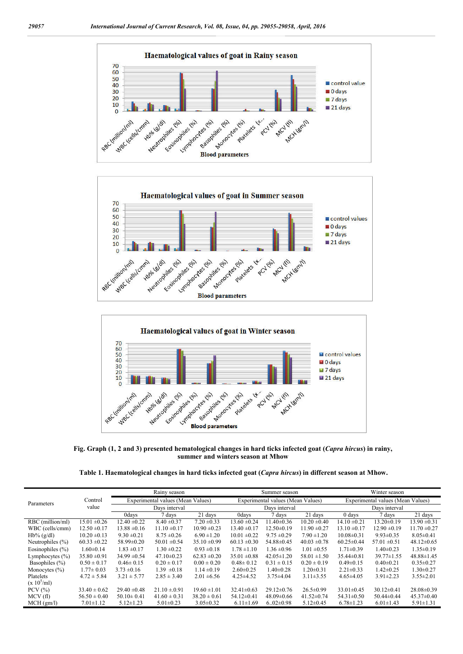





**Fig. Graph (1, 2 and 3) presented hematological changes in hard ticks infected goat (***Capra hircus***) in rainy, summer and winters season at Mhow**

|  | Table 1. Haematological changes in hard ticks infected goat (Capra hircus) in different season at Mhow. |  |  |
|--|---------------------------------------------------------------------------------------------------------|--|--|
|  |                                                                                                         |  |  |

|                      |                  | Rainy season                      |                  | Summer season                     |                  |                  | Winter season                     |                  |                  |                  |
|----------------------|------------------|-----------------------------------|------------------|-----------------------------------|------------------|------------------|-----------------------------------|------------------|------------------|------------------|
| Parameters           | Control          | Experimental values (Mean Values) |                  | Experimental values (Mean Values) |                  |                  | Experimental values (Mean Values) |                  |                  |                  |
|                      | value            | Davs interval                     |                  | Days interval                     |                  |                  | Days interval                     |                  |                  |                  |
|                      |                  | 0days                             | 7 days           | 21 days                           | <b>Odays</b>     | 7 days           | 21 days                           | $0$ days         | 7 days           | 21 days          |
| RBC (million/ml)     | $15.01 \pm 0.26$ | $12.40 \pm 0.22$                  | $8.40 \pm 0.37$  | $7.20 \pm 0.33$                   | $13.60 \pm 0.24$ | $1.40\pm0.36$    | $10.20 \pm 0.40$                  | $14.10 \pm 0.21$ | $13.20 \pm 0.19$ | $13.90 \pm 0.31$ |
| WBC (cells/cmm)      | $12.50 \pm 0.17$ | $13.88 \pm 0.16$                  | $11.10 \pm 0.17$ | $10.90 \pm 0.23$                  | $13.40 \pm 0.17$ | $12.50 \pm 0.19$ | $11.90 \pm 0.27$                  | $13.10 \pm 0.17$ | $12.90 \pm 0.19$ | $11.70 \pm 0.27$ |
| $Hb\%$ (g/dl)        | $10.20 \pm 0.13$ | $9.30 \pm 0.21$                   | $8.75 \pm 0.26$  | $6.90 \pm 1.20$                   | $10.01 \pm 0.22$ | $9.75 \pm 0.29$  | $7.90 \pm 1.20$                   | $10.08 \pm 0.31$ | $9.93 \pm 0.35$  | $8.05 \pm 0.41$  |
| Neutrophiles $(\% )$ | $60.33 \pm 0.22$ | 58.99±0.20                        | $50.01 \pm 0.54$ | $35.10 \pm 0.99$                  | $60.13 \pm 0.30$ | 54.88±0.45       | $40.03 \pm 0.78$                  | $60.25 \pm 0.44$ | $57.01 \pm 0.51$ | $48.12 \pm 0.65$ |
| Eosinophiles $(\% )$ | $1.60 \pm 0.14$  | $1.83 \pm 0.17$                   | $1.30 \pm 0.22$  | $0.93 \pm 0.18$                   | $1.78 \pm 1.10$  | $1.36 \pm 0.96$  | $1.01 \pm 0.55$                   | $1.71 \pm 0.39$  | $1.40 \pm 0.23$  | $1.35 \pm 0.19$  |
| Lymphocytes $(\% )$  | $35.80 \pm 0.91$ | $34.99 \pm 0.54$                  | $47.10 \pm 0.23$ | $62.83 \pm 0.20$                  | $35.01 \pm 0.88$ | $42.05 \pm 1.20$ | $58.01 \pm 1.50$                  | $35.44\pm0.81$   | $39.77 \pm 1.55$ | $48.88 \pm 1.45$ |
| Basophiles (%)       | $0.50 \pm 0.17$  | $0.46 \pm 0.15$                   | $0.20 \pm 0.17$  | $0.00 \pm 0.20$                   | $0.48 \pm 0.12$  | $0.31 \pm 0.15$  | $0.20 \pm 0.19$                   | $0.49 \pm 0.15$  | $0.40 \pm 0.21$  | $0.35 \pm 0.27$  |
| Monocytes $(\% )$    | $1.77 \pm 0.03$  | $3.73 \pm 0.16$                   | $1.39 \pm 0.18$  | $1.14 \pm 0.19$                   | $2.60 \pm 0.25$  | $1.40 \pm 0.28$  | $1.20 \pm 0.31$                   | $2.21 \pm 0.33$  | $1.42 \pm 0.25$  | $1.30 \pm 0.27$  |
| Platelets            | $4.72 \pm 5.84$  | $3.21 \pm 5.77$                   | $2.85 \pm 3.40$  | $2.01 \pm 6.56$                   | $4.25 \pm 4.52$  | $3.75 \pm 4.04$  | $3.11 \pm 3.55$                   | $4.65 \pm 4.05$  | $3.91 \pm 2.23$  | $3.55 \pm 2.01$  |
| $(x 10^5$ /ml)       |                  |                                   |                  |                                   |                  |                  |                                   |                  |                  |                  |
| $PCV$ $(\% )$        | $33.40 \pm 0.62$ | $29.40 \pm 0.48$                  | $21.10 \pm 0.91$ | $19.60 \pm 1.01$                  | $32.41 \pm 0.63$ | $29.12 \pm 0.76$ | $26.5 \pm 0.99$                   | $33.01 \pm 0.45$ | $30.12 \pm 0.41$ | $28.08 \pm 0.39$ |
| MCV(f)               | $56.50 \pm 0.40$ | $50.10 \pm 0.41$                  | $41.60 \pm 0.31$ | $38.20 \pm 0.61$                  | $54.12 \pm 0.41$ | $48.09 \pm 0.66$ | $41.52 \pm 0.74$                  | $54.31 \pm 0.50$ | $50.44 \pm 0.44$ | $45.37 \pm 0.40$ |
| MCH (gm/l)           | $7.01 \pm 1.12$  | $5.12 \pm 1.23$                   | $5.01 \pm 0.23$  | $3.05 \pm 0.32$                   | $6.11 \pm 1.69$  | $6.02 \pm 0.98$  | $5.12 \pm 0.45$                   | $6.78 \pm 1.23$  | $6.01 \pm 1.43$  | $5.91 \pm 1.31$  |